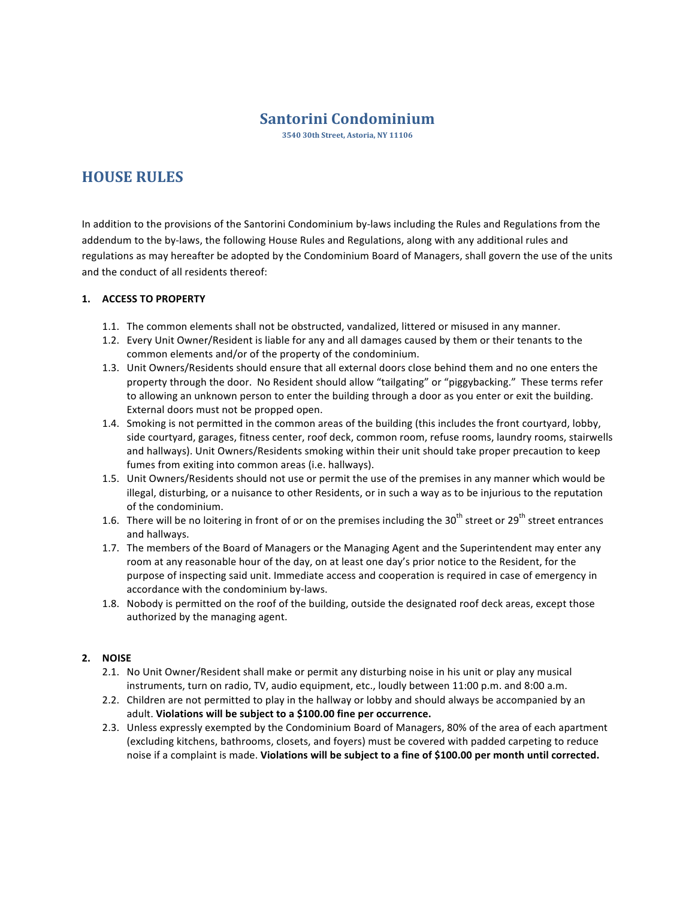# **Santorini Condominium**

**3540 30th Street, Astoria, NY 11106**

# **HOUSE RULES**

In addition to the provisions of the Santorini Condominium by-laws including the Rules and Regulations from the addendum to the by-laws, the following House Rules and Regulations, along with any additional rules and regulations as may hereafter be adopted by the Condominium Board of Managers, shall govern the use of the units and the conduct of all residents thereof:

## 1. **ACCESS TO PROPERTY**

- 1.1. The common elements shall not be obstructed, vandalized, littered or misused in any manner.
- 1.2. Every Unit Owner/Resident is liable for any and all damages caused by them or their tenants to the common elements and/or of the property of the condominium.
- 1.3. Unit Owners/Residents should ensure that all external doors close behind them and no one enters the property through the door. No Resident should allow "tailgating" or "piggybacking." These terms refer to allowing an unknown person to enter the building through a door as you enter or exit the building. External doors must not be propped open.
- 1.4. Smoking is not permitted in the common areas of the building (this includes the front courtyard, lobby, side courtyard, garages, fitness center, roof deck, common room, refuse rooms, laundry rooms, stairwells and hallways). Unit Owners/Residents smoking within their unit should take proper precaution to keep fumes from exiting into common areas (i.e. hallways).
- 1.5. Unit Owners/Residents should not use or permit the use of the premises in any manner which would be illegal, disturbing, or a nuisance to other Residents, or in such a way as to be injurious to the reputation of the condominium.
- 1.6. There will be no loitering in front of or on the premises including the 30<sup>th</sup> street or 29<sup>th</sup> street entrances and hallways.
- 1.7. The members of the Board of Managers or the Managing Agent and the Superintendent may enter any room at any reasonable hour of the day, on at least one day's prior notice to the Resident, for the purpose of inspecting said unit. Immediate access and cooperation is required in case of emergency in accordance with the condominium by-laws.
- 1.8. Nobody is permitted on the roof of the building, outside the designated roof deck areas, except those authorized by the managing agent.

## **2. NOISE**

- 2.1. No Unit Owner/Resident shall make or permit any disturbing noise in his unit or play any musical instruments, turn on radio, TV, audio equipment, etc., loudly between 11:00 p.m. and 8:00 a.m.
- 2.2. Children are not permitted to play in the hallway or lobby and should always be accompanied by an adult. Violations will be subject to a \$100.00 fine per occurrence.
- 2.3. Unless expressly exempted by the Condominium Board of Managers, 80% of the area of each apartment (excluding kitchens, bathrooms, closets, and foyers) must be covered with padded carpeting to reduce noise if a complaint is made. Violations will be subject to a fine of \$100.00 per month until corrected.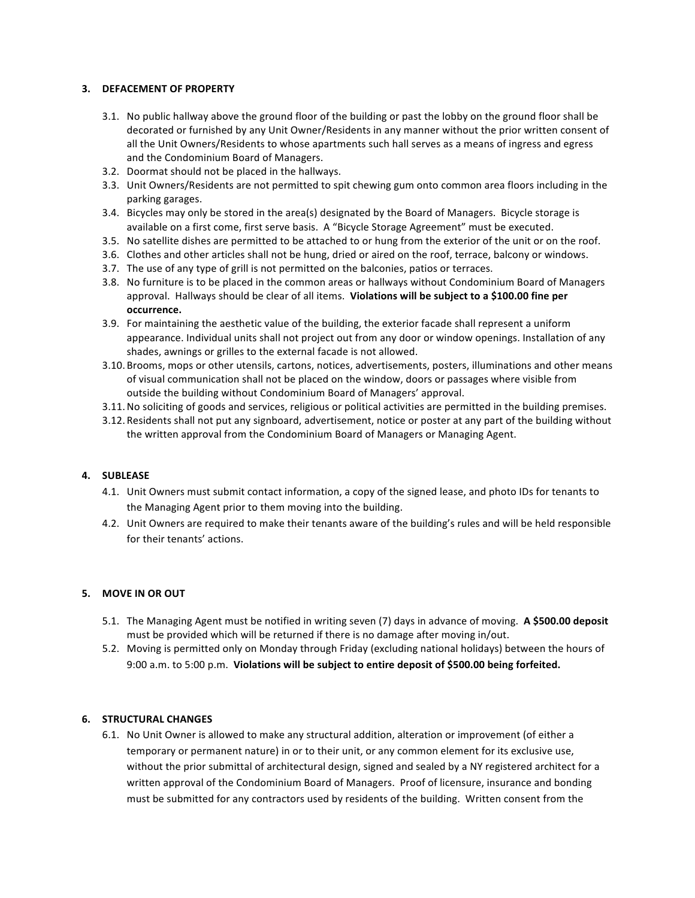### **3. DEFACEMENT OF PROPERTY**

- 3.1. No public hallway above the ground floor of the building or past the lobby on the ground floor shall be decorated or furnished by any Unit Owner/Residents in any manner without the prior written consent of all the Unit Owners/Residents to whose apartments such hall serves as a means of ingress and egress and the Condominium Board of Managers.
- 3.2. Doormat should not be placed in the hallways.
- 3.3. Unit Owners/Residents are not permitted to spit chewing gum onto common area floors including in the parking garages.
- 3.4. Bicycles may only be stored in the area(s) designated by the Board of Managers. Bicycle storage is available on a first come, first serve basis. A "Bicycle Storage Agreement" must be executed.
- 3.5. No satellite dishes are permitted to be attached to or hung from the exterior of the unit or on the roof.
- 3.6. Clothes and other articles shall not be hung, dried or aired on the roof, terrace, balcony or windows.
- 3.7. The use of any type of grill is not permitted on the balconies, patios or terraces.
- 3.8. No furniture is to be placed in the common areas or hallways without Condominium Board of Managers approval. Hallways should be clear of all items. Violations will be subject to a \$100.00 fine per **occurrence.**
- 3.9. For maintaining the aesthetic value of the building, the exterior facade shall represent a uniform appearance. Individual units shall not project out from any door or window openings. Installation of any shades, awnings or grilles to the external facade is not allowed.
- 3.10. Brooms, mops or other utensils, cartons, notices, advertisements, posters, illuminations and other means of visual communication shall not be placed on the window, doors or passages where visible from outside the building without Condominium Board of Managers' approval.
- 3.11. No soliciting of goods and services, religious or political activities are permitted in the building premises.
- 3.12. Residents shall not put any signboard, advertisement, notice or poster at any part of the building without the written approval from the Condominium Board of Managers or Managing Agent.

#### **4. SUBLEASE**

- 4.1. Unit Owners must submit contact information, a copy of the signed lease, and photo IDs for tenants to the Managing Agent prior to them moving into the building.
- 4.2. Unit Owners are required to make their tenants aware of the building's rules and will be held responsible for their tenants' actions.

#### **5.** MOVE IN OR OUT

- 5.1. The Managing Agent must be notified in writing seven (7) days in advance of moving. A \$500.00 deposit must be provided which will be returned if there is no damage after moving in/out.
- 5.2. Moving is permitted only on Monday through Friday (excluding national holidays) between the hours of 9:00 a.m. to 5:00 p.m. **Violations will be subject to entire deposit of \$500.00 being forfeited.**

#### **6. STRUCTURAL CHANGES**

6.1. No Unit Owner is allowed to make any structural addition, alteration or improvement (of either a temporary or permanent nature) in or to their unit, or any common element for its exclusive use, without the prior submittal of architectural design, signed and sealed by a NY registered architect for a written approval of the Condominium Board of Managers. Proof of licensure, insurance and bonding must be submitted for any contractors used by residents of the building. Written consent from the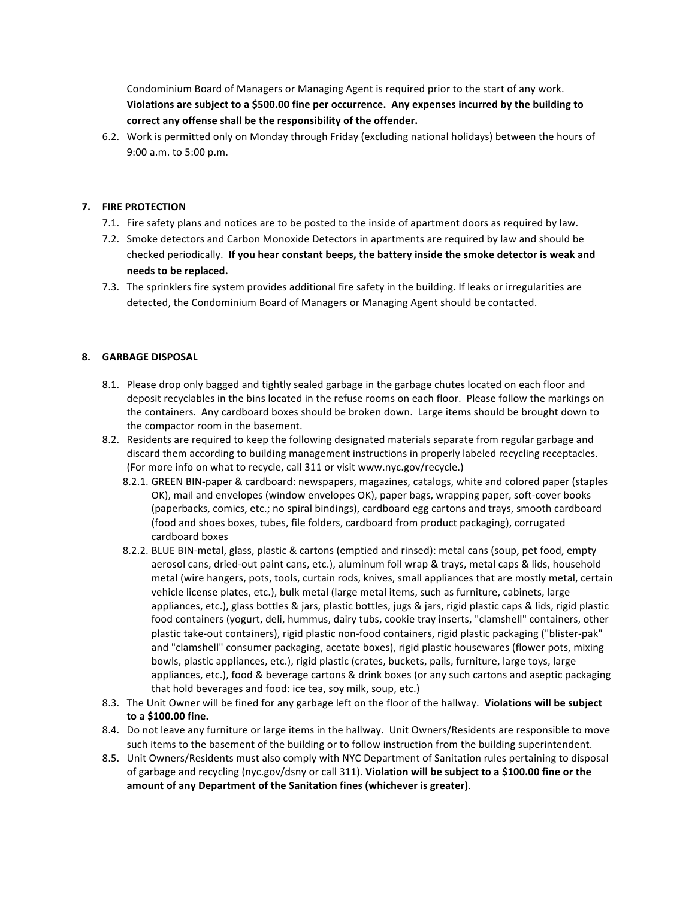Condominium Board of Managers or Managing Agent is required prior to the start of any work. Violations are subject to a \$500.00 fine per occurrence. Any expenses incurred by the building to correct any offense shall be the responsibility of the offender.

6.2. Work is permitted only on Monday through Friday (excluding national holidays) between the hours of 9:00 a.m. to 5:00 p.m.

### **7. FIRE PROTECTION**

- 7.1. Fire safety plans and notices are to be posted to the inside of apartment doors as required by law.
- 7.2. Smoke detectors and Carbon Monoxide Detectors in apartments are required by law and should be checked periodically. If you hear constant beeps, the battery inside the smoke detector is weak and **needs to be replaced.**
- 7.3. The sprinklers fire system provides additional fire safety in the building. If leaks or irregularities are detected, the Condominium Board of Managers or Managing Agent should be contacted.

### 8. **GARBAGE DISPOSAL**

- 8.1. Please drop only bagged and tightly sealed garbage in the garbage chutes located on each floor and deposit recyclables in the bins located in the refuse rooms on each floor. Please follow the markings on the containers. Any cardboard boxes should be broken down. Large items should be brought down to the compactor room in the basement.
- 8.2. Residents are required to keep the following designated materials separate from regular garbage and discard them according to building management instructions in properly labeled recycling receptacles. (For more info on what to recycle, call 311 or visit www.nyc.gov/recycle.)
	- 8.2.1. GREEN BIN-paper & cardboard: newspapers, magazines, catalogs, white and colored paper (staples OK), mail and envelopes (window envelopes OK), paper bags, wrapping paper, soft-cover books (paperbacks, comics, etc.; no spiral bindings), cardboard egg cartons and trays, smooth cardboard (food and shoes boxes, tubes, file folders, cardboard from product packaging), corrugated cardboard boxes
	- 8.2.2. BLUE BIN-metal, glass, plastic & cartons (emptied and rinsed): metal cans (soup, pet food, empty aerosol cans, dried-out paint cans, etc.), aluminum foil wrap & trays, metal caps & lids, household metal (wire hangers, pots, tools, curtain rods, knives, small appliances that are mostly metal, certain vehicle license plates, etc.), bulk metal (large metal items, such as furniture, cabinets, large appliances, etc.), glass bottles & jars, plastic bottles, jugs & jars, rigid plastic caps & lids, rigid plastic food containers (yogurt, deli, hummus, dairy tubs, cookie tray inserts, "clamshell" containers, other plastic take-out containers), rigid plastic non-food containers, rigid plastic packaging ("blister-pak" and "clamshell" consumer packaging, acetate boxes), rigid plastic housewares (flower pots, mixing bowls, plastic appliances, etc.), rigid plastic (crates, buckets, pails, furniture, large toys, large appliances, etc.), food & beverage cartons & drink boxes (or any such cartons and aseptic packaging that hold beverages and food: ice tea, soy milk, soup, etc.)
- 8.3. The Unit Owner will be fined for any garbage left on the floor of the hallway. Violations will be subject **to a \$100.00 fine.**
- 8.4. Do not leave any furniture or large items in the hallway. Unit Owners/Residents are responsible to move such items to the basement of the building or to follow instruction from the building superintendent.
- 8.5. Unit Owners/Residents must also comply with NYC Department of Sanitation rules pertaining to disposal of garbage and recycling (nyc.gov/dsny or call 311). **Violation will be subject to a \$100.00 fine or the** amount of any Department of the Sanitation fines (whichever is greater).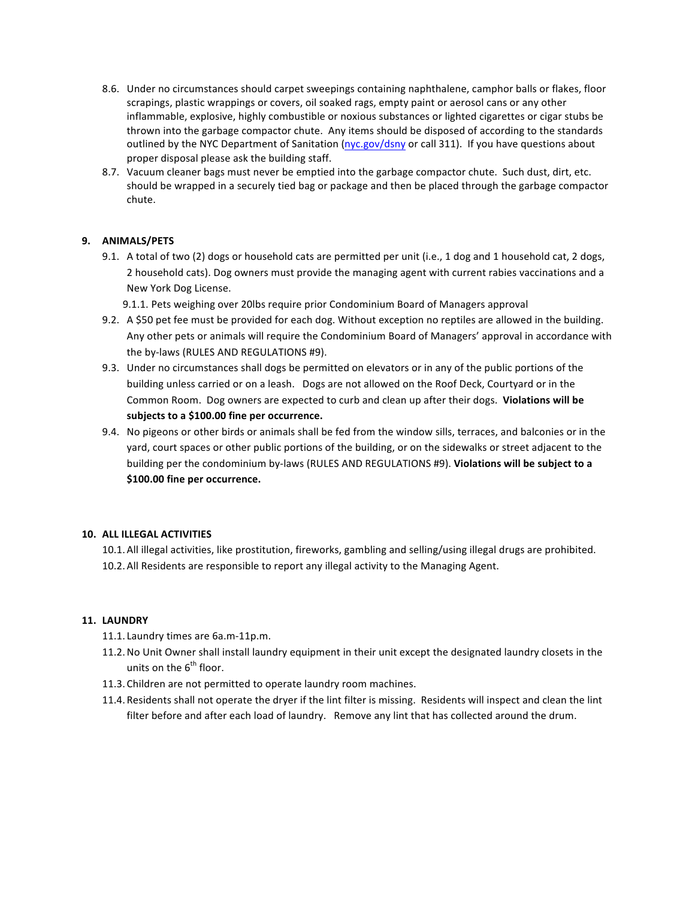- 8.6. Under no circumstances should carpet sweepings containing naphthalene, camphor balls or flakes, floor scrapings, plastic wrappings or covers, oil soaked rags, empty paint or aerosol cans or any other inflammable, explosive, highly combustible or noxious substances or lighted cigarettes or cigar stubs be thrown into the garbage compactor chute. Any items should be disposed of according to the standards outlined by the NYC Department of Sanitation (nyc.gov/dsny or call 311). If you have questions about proper disposal please ask the building staff.
- 8.7. Vacuum cleaner bags must never be emptied into the garbage compactor chute. Such dust, dirt, etc. should be wrapped in a securely tied bag or package and then be placed through the garbage compactor chute.

## **9. ANIMALS/PETS**

9.1. A total of two (2) dogs or household cats are permitted per unit (i.e., 1 dog and 1 household cat, 2 dogs, 2 household cats). Dog owners must provide the managing agent with current rabies vaccinations and a New York Dog License. 

9.1.1. Pets weighing over 20lbs require prior Condominium Board of Managers approval

- 9.2. A \$50 pet fee must be provided for each dog. Without exception no reptiles are allowed in the building. Any other pets or animals will require the Condominium Board of Managers' approval in accordance with the by-laws (RULES AND REGULATIONS #9).
- 9.3. Under no circumstances shall dogs be permitted on elevators or in any of the public portions of the building unless carried or on a leash. Dogs are not allowed on the Roof Deck, Courtyard or in the Common Room. Dog owners are expected to curb and clean up after their dogs. Violations will be subjects to a \$100.00 fine per occurrence.
- 9.4. No pigeons or other birds or animals shall be fed from the window sills, terraces, and balconies or in the yard, court spaces or other public portions of the building, or on the sidewalks or street adjacent to the building per the condominium by-laws (RULES AND REGULATIONS #9). Violations will be subject to a \$100.00 fine per occurrence.

### **10. ALL ILLEGAL ACTIVITIES**

10.1. All illegal activities, like prostitution, fireworks, gambling and selling/using illegal drugs are prohibited. 10.2. All Residents are responsible to report any illegal activity to the Managing Agent.

### **11. LAUNDRY**

- 11.1. Laundry times are 6a.m-11p.m.
- 11.2. No Unit Owner shall install laundry equipment in their unit except the designated laundry closets in the units on the  $6<sup>th</sup>$  floor.
- 11.3. Children are not permitted to operate laundry room machines.
- 11.4. Residents shall not operate the dryer if the lint filter is missing. Residents will inspect and clean the lint filter before and after each load of laundry. Remove any lint that has collected around the drum.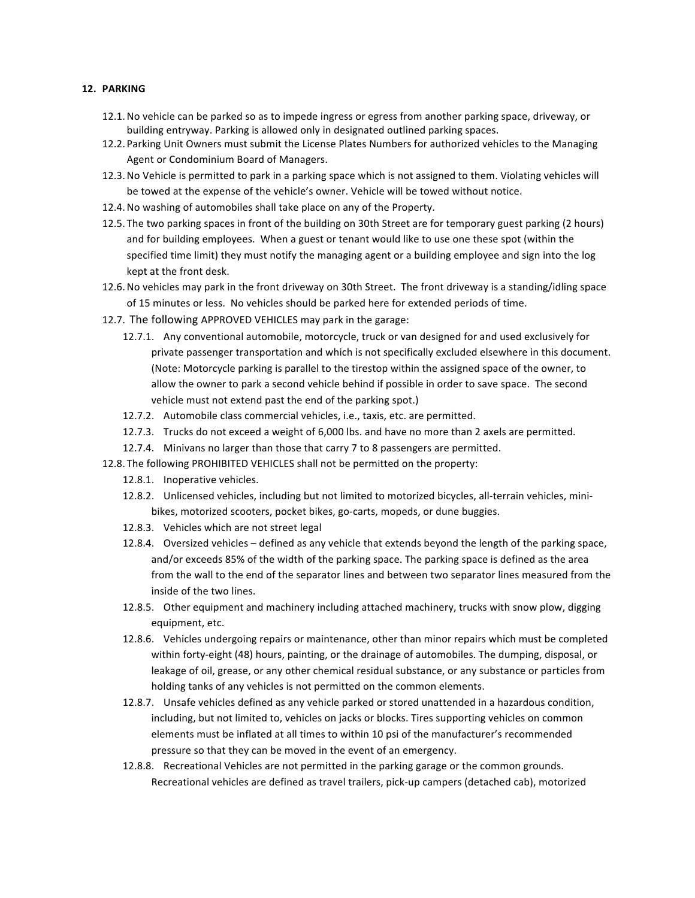#### **12. PARKING**

- 12.1. No vehicle can be parked so as to impede ingress or egress from another parking space, driveway, or building entryway. Parking is allowed only in designated outlined parking spaces.
- 12.2. Parking Unit Owners must submit the License Plates Numbers for authorized vehicles to the Managing Agent or Condominium Board of Managers.
- 12.3. No Vehicle is permitted to park in a parking space which is not assigned to them. Violating vehicles will be towed at the expense of the vehicle's owner. Vehicle will be towed without notice.
- 12.4. No washing of automobiles shall take place on any of the Property.
- 12.5. The two parking spaces in front of the building on 30th Street are for temporary guest parking (2 hours) and for building employees. When a guest or tenant would like to use one these spot (within the specified time limit) they must notify the managing agent or a building employee and sign into the log kept at the front desk.
- 12.6. No vehicles may park in the front driveway on 30th Street. The front driveway is a standing/idling space of 15 minutes or less. No vehicles should be parked here for extended periods of time.
- 12.7. The following APPROVED VEHICLES may park in the garage:
	- 12.7.1. Any conventional automobile, motorcycle, truck or van designed for and used exclusively for private passenger transportation and which is not specifically excluded elsewhere in this document. (Note: Motorcycle parking is parallel to the tirestop within the assigned space of the owner, to allow the owner to park a second vehicle behind if possible in order to save space. The second vehicle must not extend past the end of the parking spot.)
	- 12.7.2. Automobile class commercial vehicles, i.e., taxis, etc. are permitted.
	- 12.7.3. Trucks do not exceed a weight of 6,000 lbs. and have no more than 2 axels are permitted.
	- 12.7.4. Minivans no larger than those that carry 7 to 8 passengers are permitted.
- 12.8. The following PROHIBITED VEHICLES shall not be permitted on the property:
	- 12.8.1. Inoperative vehicles.
	- 12.8.2. Unlicensed vehicles, including but not limited to motorized bicycles, all-terrain vehicles, minibikes, motorized scooters, pocket bikes, go-carts, mopeds, or dune buggies.
	- 12.8.3. Vehicles which are not street legal
	- 12.8.4. Oversized vehicles defined as any vehicle that extends beyond the length of the parking space, and/or exceeds 85% of the width of the parking space. The parking space is defined as the area from the wall to the end of the separator lines and between two separator lines measured from the inside of the two lines.
	- 12.8.5. Other equipment and machinery including attached machinery, trucks with snow plow, digging equipment, etc.
	- 12.8.6. Vehicles undergoing repairs or maintenance, other than minor repairs which must be completed within forty-eight (48) hours, painting, or the drainage of automobiles. The dumping, disposal, or leakage of oil, grease, or any other chemical residual substance, or any substance or particles from holding tanks of any vehicles is not permitted on the common elements.
	- 12.8.7. Unsafe vehicles defined as any vehicle parked or stored unattended in a hazardous condition, including, but not limited to, vehicles on jacks or blocks. Tires supporting vehicles on common elements must be inflated at all times to within 10 psi of the manufacturer's recommended pressure so that they can be moved in the event of an emergency.
	- 12.8.8. Recreational Vehicles are not permitted in the parking garage or the common grounds. Recreational vehicles are defined as travel trailers, pick-up campers (detached cab), motorized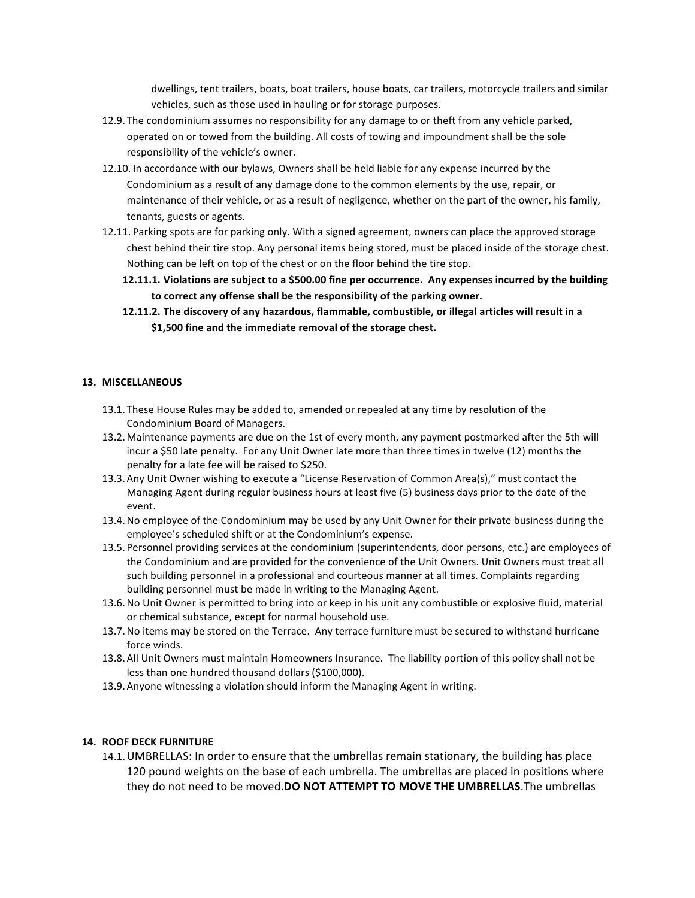dwellings, tent trailers, boats, boat trailers, house boats, car trailers, motorcycle trailers and similar vehicles, such as those used in hauling or for storage purposes.

- 12.9. The condominium assumes no responsibility for any damage to or theft from any vehicle parked, operated on or towed from the building. All costs of towing and impoundment shall be the sole responsibility of the vehicle's owner.
- 12.10. In accordance with our bylaws, Owners shall be held liable for any expense incurred by the Condominium as a result of any damage done to the common elements by the use, repair, or maintenance of their vehicle, or as a result of negligence, whether on the part of the owner, his family, tenants, guests or agents.
- 12.11. Parking spots are for parking only. With a signed agreement, owners can place the approved storage chest behind their tire stop. Any personal items being stored, must be placed inside of the storage chest. Nothing can be left on top of the chest or on the floor behind the tire stop.
	- **12.11.1.** Violations are subject to a \$500.00 fine per occurrence. Any expenses incurred by the building to correct any offense shall be the responsibility of the parking owner.
	- 12.11.2. The discovery of any hazardous, flammable, combustible, or illegal articles will result in a \$1,500 fine and the immediate removal of the storage chest.

### **13. MISCELLANEOUS**

- 13.1. These House Rules may be added to, amended or repealed at any time by resolution of the Condominium Board of Managers.
- 13.2. Maintenance payments are due on the 1st of every month, any payment postmarked after the 5th will incur a \$50 late penalty. For any Unit Owner late more than three times in twelve (12) months the penalty for a late fee will be raised to \$250.
- 13.3. Any Unit Owner wishing to execute a "License Reservation of Common Area(s)," must contact the Managing Agent during regular business hours at least five (5) business days prior to the date of the event.
- 13.4. No employee of the Condominium may be used by any Unit Owner for their private business during the employee's scheduled shift or at the Condominium's expense.
- 13.5. Personnel providing services at the condominium (superintendents, door persons, etc.) are employees of the Condominium and are provided for the convenience of the Unit Owners. Unit Owners must treat all such building personnel in a professional and courteous manner at all times. Complaints regarding building personnel must be made in writing to the Managing Agent.
- 13.6. No Unit Owner is permitted to bring into or keep in his unit any combustible or explosive fluid, material or chemical substance, except for normal household use.
- 13.7. No items may be stored on the Terrace. Any terrace furniture must be secured to withstand hurricane force winds.
- 13.8. All Unit Owners must maintain Homeowners Insurance. The liability portion of this policy shall not be less than one hundred thousand dollars (\$100,000).
- 13.9. Anyone witnessing a violation should inform the Managing Agent in writing.

#### **14. ROOF DECK FURNITURE**

14.1. UMBRELLAS: In order to ensure that the umbrellas remain stationary, the building has place 120 pound weights on the base of each umbrella. The umbrellas are placed in positions where they do not need to be moved.**DO NOT ATTEMPT TO MOVE THE UMBRELLAS**.The umbrellas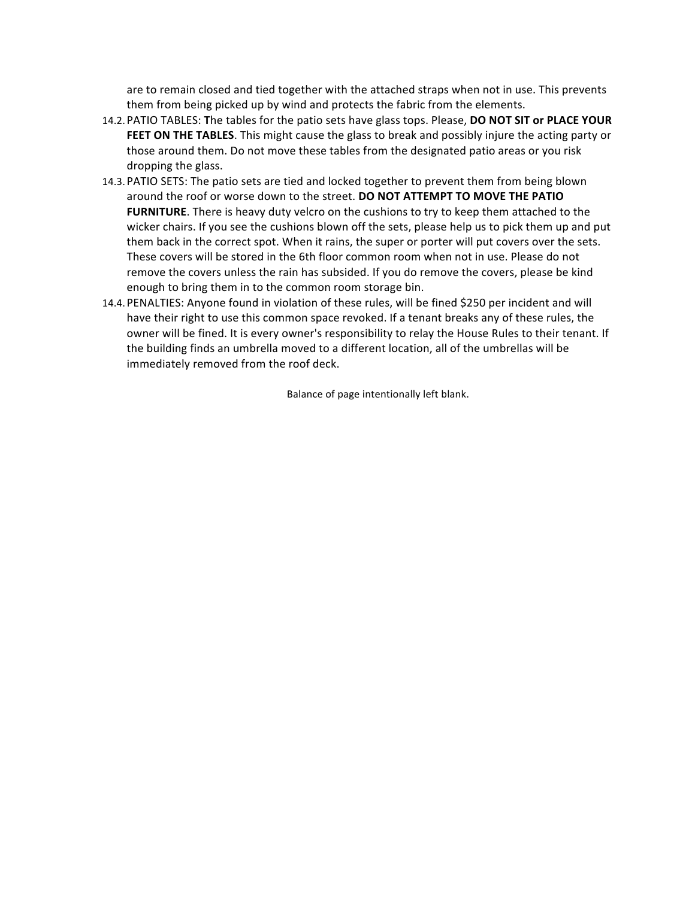are to remain closed and tied together with the attached straps when not in use. This prevents them from being picked up by wind and protects the fabric from the elements.

- 14.2. PATIO TABLES: The tables for the patio sets have glass tops. Please, DO NOT SIT or PLACE YOUR **FEET ON THE TABLES**. This might cause the glass to break and possibly injure the acting party or those around them. Do not move these tables from the designated patio areas or you risk dropping the glass.
- 14.3. PATIO SETS: The patio sets are tied and locked together to prevent them from being blown around the roof or worse down to the street. **DO NOT ATTEMPT TO MOVE THE PATIO FURNITURE**. There is heavy duty velcro on the cushions to try to keep them attached to the wicker chairs. If you see the cushions blown off the sets, please help us to pick them up and put them back in the correct spot. When it rains, the super or porter will put covers over the sets. These covers will be stored in the 6th floor common room when not in use. Please do not remove the covers unless the rain has subsided. If you do remove the covers, please be kind enough to bring them in to the common room storage bin.
- 14.4. PENALTIES: Anyone found in violation of these rules, will be fined \$250 per incident and will have their right to use this common space revoked. If a tenant breaks any of these rules, the owner will be fined. It is every owner's responsibility to relay the House Rules to their tenant. If the building finds an umbrella moved to a different location, all of the umbrellas will be immediately removed from the roof deck.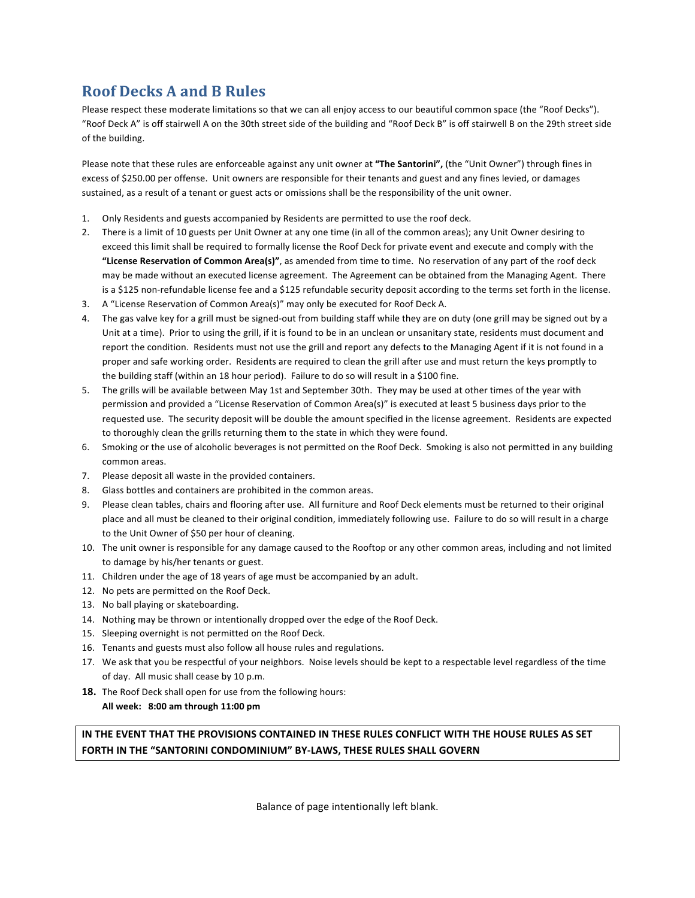# **Roof Decks A and B Rules**

Please respect these moderate limitations so that we can all enjoy access to our beautiful common space (the "Roof Decks"). "Roof Deck A" is off stairwell A on the 30th street side of the building and "Roof Deck B" is off stairwell B on the 29th street side of the building.

Please note that these rules are enforceable against any unit owner at "The Santorini", (the "Unit Owner") through fines in excess of \$250.00 per offense. Unit owners are responsible for their tenants and guest and any fines levied, or damages sustained, as a result of a tenant or guest acts or omissions shall be the responsibility of the unit owner.

- 1. Only Residents and guests accompanied by Residents are permitted to use the roof deck.
- 2. There is a limit of 10 guests per Unit Owner at any one time (in all of the common areas); any Unit Owner desiring to exceed this limit shall be required to formally license the Roof Deck for private event and execute and comply with the "License Reservation of Common Area(s)", as amended from time to time. No reservation of any part of the roof deck may be made without an executed license agreement. The Agreement can be obtained from the Managing Agent. There is a \$125 non-refundable license fee and a \$125 refundable security deposit according to the terms set forth in the license.
- 3. A "License Reservation of Common Area(s)" may only be executed for Roof Deck A.
- 4. The gas valve key for a grill must be signed-out from building staff while they are on duty (one grill may be signed out by a Unit at a time). Prior to using the grill, if it is found to be in an unclean or unsanitary state, residents must document and report the condition. Residents must not use the grill and report any defects to the Managing Agent if it is not found in a proper and safe working order. Residents are required to clean the grill after use and must return the keys promptly to the building staff (within an 18 hour period). Failure to do so will result in a \$100 fine.
- 5. The grills will be available between May 1st and September 30th. They may be used at other times of the year with permission and provided a "License Reservation of Common Area(s)" is executed at least 5 business days prior to the requested use. The security deposit will be double the amount specified in the license agreement. Residents are expected to thoroughly clean the grills returning them to the state in which they were found.
- 6. Smoking or the use of alcoholic beverages is not permitted on the Roof Deck. Smoking is also not permitted in any building common areas.
- 7. Please deposit all waste in the provided containers.
- 8. Glass bottles and containers are prohibited in the common areas.
- 9. Please clean tables, chairs and flooring after use. All furniture and Roof Deck elements must be returned to their original place and all must be cleaned to their original condition, immediately following use. Failure to do so will result in a charge to the Unit Owner of \$50 per hour of cleaning.
- 10. The unit owner is responsible for any damage caused to the Rooftop or any other common areas, including and not limited to damage by his/her tenants or guest.
- 11. Children under the age of 18 years of age must be accompanied by an adult.
- 12. No pets are permitted on the Roof Deck.
- 13. No ball playing or skateboarding.
- 14. Nothing may be thrown or intentionally dropped over the edge of the Roof Deck.
- 15. Sleeping overnight is not permitted on the Roof Deck.
- 16. Tenants and guests must also follow all house rules and regulations.
- 17. We ask that you be respectful of your neighbors. Noise levels should be kept to a respectable level regardless of the time of day. All music shall cease by 10 p.m.
- 18. The Roof Deck shall open for use from the following hours: All week: 8:00 am through 11:00 pm

IN THE EVENT THAT THE PROVISIONS CONTAINED IN THESE RULES CONFLICT WITH THE HOUSE RULES AS SET **FORTH IN THE "SANTORINI CONDOMINIUM" BY-LAWS, THESE RULES SHALL GOVERN**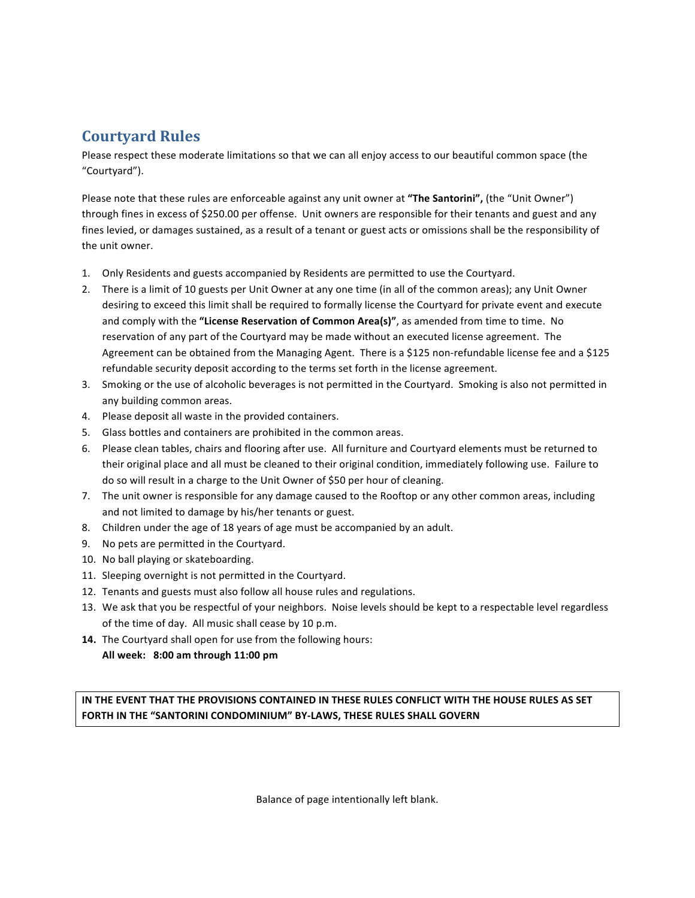# **Courtyard Rules**

Please respect these moderate limitations so that we can all enjoy access to our beautiful common space (the "Courtyard").

Please note that these rules are enforceable against any unit owner at "The Santorini", (the "Unit Owner") through fines in excess of \$250.00 per offense. Unit owners are responsible for their tenants and guest and any fines levied, or damages sustained, as a result of a tenant or guest acts or omissions shall be the responsibility of the unit owner.

- 1. Only Residents and guests accompanied by Residents are permitted to use the Courtyard.
- 2. There is a limit of 10 guests per Unit Owner at any one time (in all of the common areas); any Unit Owner desiring to exceed this limit shall be required to formally license the Courtyard for private event and execute and comply with the "License Reservation of Common Area(s)", as amended from time to time. No reservation of any part of the Courtyard may be made without an executed license agreement. The Agreement can be obtained from the Managing Agent. There is a \$125 non-refundable license fee and a \$125 refundable security deposit according to the terms set forth in the license agreement.
- 3. Smoking or the use of alcoholic beverages is not permitted in the Courtyard. Smoking is also not permitted in any building common areas.
- 4. Please deposit all waste in the provided containers.
- 5. Glass bottles and containers are prohibited in the common areas.
- 6. Please clean tables, chairs and flooring after use. All furniture and Courtyard elements must be returned to their original place and all must be cleaned to their original condition, immediately following use. Failure to do so will result in a charge to the Unit Owner of \$50 per hour of cleaning.
- 7. The unit owner is responsible for any damage caused to the Rooftop or any other common areas, including and not limited to damage by his/her tenants or guest.
- 8. Children under the age of 18 years of age must be accompanied by an adult.
- 9. No pets are permitted in the Courtyard.
- 10. No ball playing or skateboarding.
- 11. Sleeping overnight is not permitted in the Courtyard.
- 12. Tenants and guests must also follow all house rules and regulations.
- 13. We ask that you be respectful of your neighbors. Noise levels should be kept to a respectable level regardless of the time of day. All music shall cease by 10 p.m.
- **14.** The Courtyard shall open for use from the following hours:

## All week: 8:00 am through 11:00 pm

IN THE EVENT THAT THE PROVISIONS CONTAINED IN THESE RULES CONFLICT WITH THE HOUSE RULES AS SET **FORTH IN THE "SANTORINI CONDOMINIUM" BY-LAWS, THESE RULES SHALL GOVERN**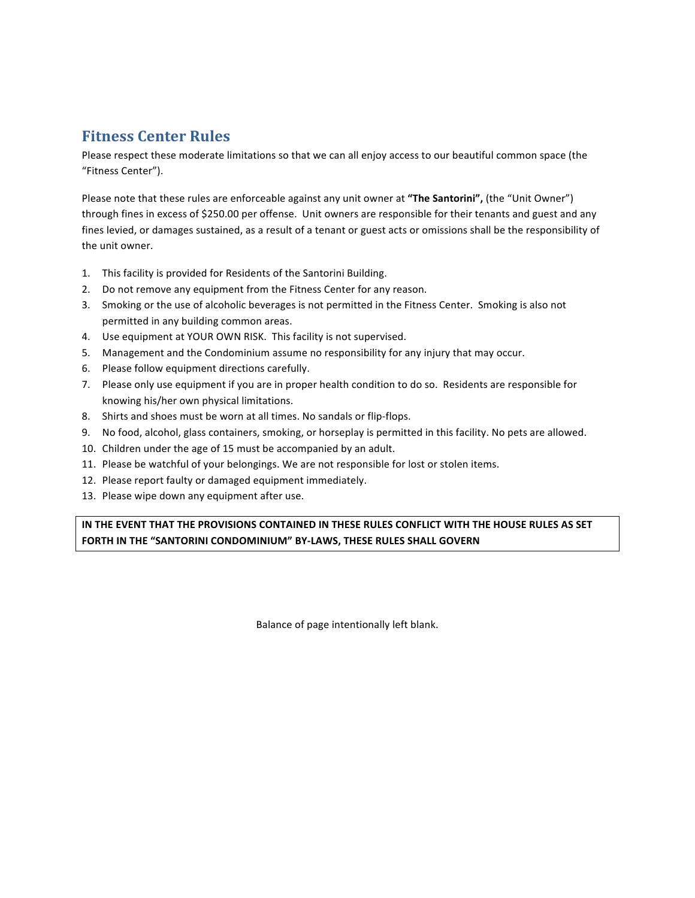# **Fitness Center Rules**

Please respect these moderate limitations so that we can all enjoy access to our beautiful common space (the "Fitness Center").

Please note that these rules are enforceable against any unit owner at "The Santorini", (the "Unit Owner") through fines in excess of \$250.00 per offense. Unit owners are responsible for their tenants and guest and any fines levied, or damages sustained, as a result of a tenant or guest acts or omissions shall be the responsibility of the unit owner.

- 1. This facility is provided for Residents of the Santorini Building.
- 2. Do not remove any equipment from the Fitness Center for any reason.
- 3. Smoking or the use of alcoholic beverages is not permitted in the Fitness Center. Smoking is also not permitted in any building common areas.
- 4. Use equipment at YOUR OWN RISK. This facility is not supervised.
- 5. Management and the Condominium assume no responsibility for any injury that may occur.
- 6. Please follow equipment directions carefully.
- 7. Please only use equipment if you are in proper health condition to do so. Residents are responsible for knowing his/her own physical limitations.
- 8. Shirts and shoes must be worn at all times. No sandals or flip-flops.
- 9. No food, alcohol, glass containers, smoking, or horseplay is permitted in this facility. No pets are allowed.
- 10. Children under the age of 15 must be accompanied by an adult.
- 11. Please be watchful of your belongings. We are not responsible for lost or stolen items.
- 12. Please report faulty or damaged equipment immediately.
- 13. Please wipe down any equipment after use.

IN THE EVENT THAT THE PROVISIONS CONTAINED IN THESE RULES CONFLICT WITH THE HOUSE RULES AS SET **FORTH IN THE "SANTORINI CONDOMINIUM" BY-LAWS, THESE RULES SHALL GOVERN**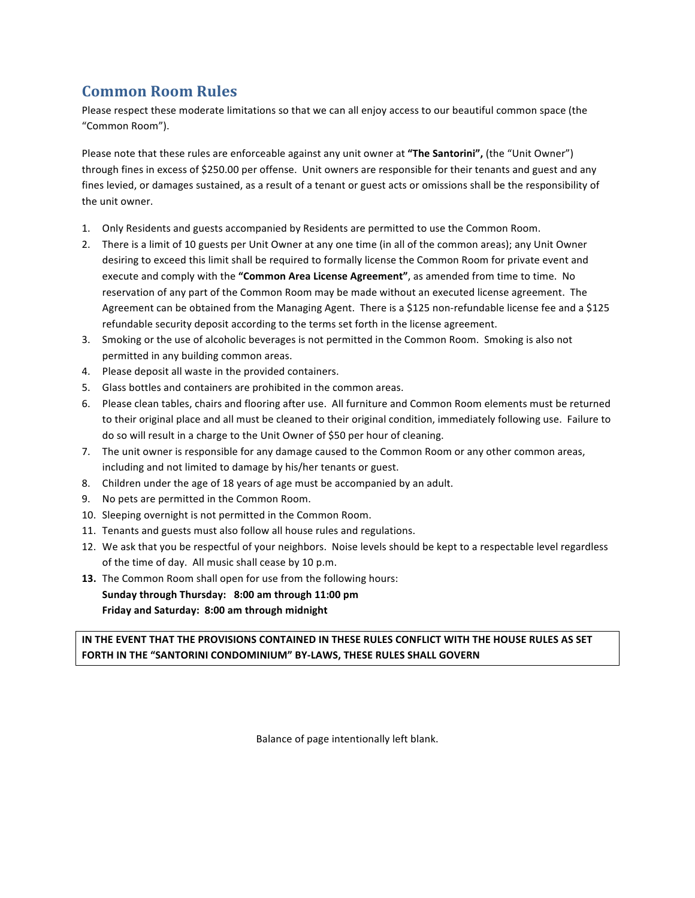# **Common Room Rules**

Please respect these moderate limitations so that we can all enjoy access to our beautiful common space (the "Common Room").

Please note that these rules are enforceable against any unit owner at "The Santorini", (the "Unit Owner") through fines in excess of \$250.00 per offense. Unit owners are responsible for their tenants and guest and any fines levied, or damages sustained, as a result of a tenant or guest acts or omissions shall be the responsibility of the unit owner.

- 1. Only Residents and guests accompanied by Residents are permitted to use the Common Room.
- 2. There is a limit of 10 guests per Unit Owner at any one time (in all of the common areas); any Unit Owner desiring to exceed this limit shall be required to formally license the Common Room for private event and execute and comply with the "Common Area License Agreement", as amended from time to time. No reservation of any part of the Common Room may be made without an executed license agreement. The Agreement can be obtained from the Managing Agent. There is a \$125 non-refundable license fee and a \$125 refundable security deposit according to the terms set forth in the license agreement.
- 3. Smoking or the use of alcoholic beverages is not permitted in the Common Room. Smoking is also not permitted in any building common areas.
- 4. Please deposit all waste in the provided containers.
- 5. Glass bottles and containers are prohibited in the common areas.
- 6. Please clean tables, chairs and flooring after use. All furniture and Common Room elements must be returned to their original place and all must be cleaned to their original condition, immediately following use. Failure to do so will result in a charge to the Unit Owner of \$50 per hour of cleaning.
- 7. The unit owner is responsible for any damage caused to the Common Room or any other common areas, including and not limited to damage by his/her tenants or guest.
- 8. Children under the age of 18 years of age must be accompanied by an adult.
- 9. No pets are permitted in the Common Room.
- 10. Sleeping overnight is not permitted in the Common Room.
- 11. Tenants and guests must also follow all house rules and regulations.
- 12. We ask that you be respectful of your neighbors. Noise levels should be kept to a respectable level regardless of the time of day. All music shall cease by 10 p.m.
- **13.** The Common Room shall open for use from the following hours: **Sunday through Thursday: 8:00 am through 11:00 pm Friday and Saturday: 8:00 am through midnight**

## IN THE EVENT THAT THE PROVISIONS CONTAINED IN THESE RULES CONFLICT WITH THE HOUSE RULES AS SET **FORTH IN THE "SANTORINI CONDOMINIUM" BY-LAWS, THESE RULES SHALL GOVERN**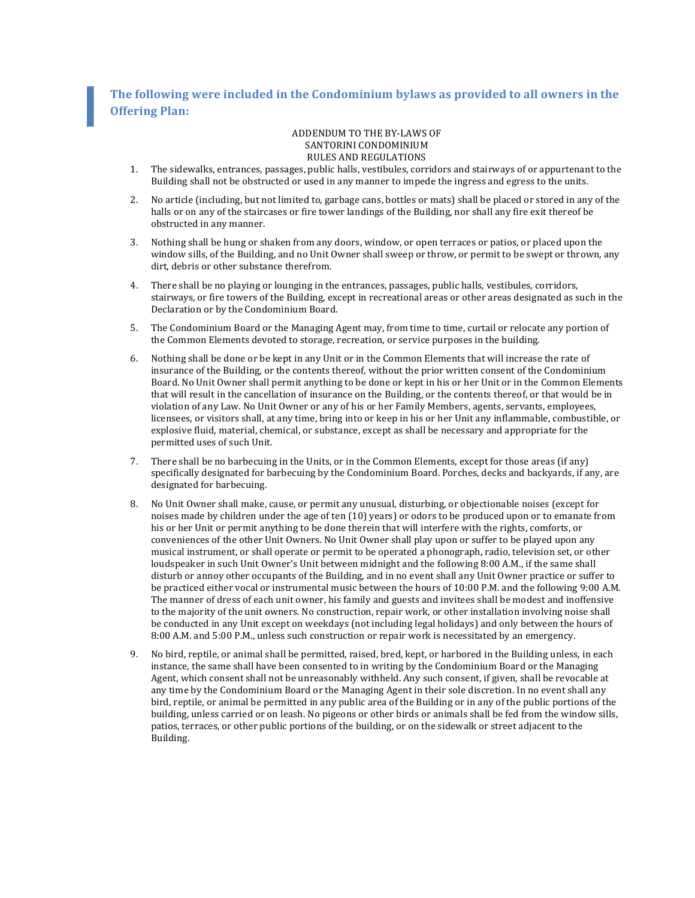**The following were included in the Condominium bylaws as provided to all owners in the Offering Plan:** 

#### ADDENDUM TO THE BY-LAWS OF SANTORINI CONDOMINIUM RULES AND REGULATIONS

- 1. The sidewalks, entrances, passages, public halls, vestibules, corridors and stairways of or appurtenant to the Building shall not be obstructed or used in any manner to impede the ingress and egress to the units.
- 2. No article (including, but not limited to, garbage cans, bottles or mats) shall be placed or stored in any of the halls or on any of the staircases or fire tower landings of the Building, nor shall any fire exit thereof be obstructed in any manner.
- 3. Nothing shall be hung or shaken from any doors, window, or open terraces or patios, or placed upon the window sills, of the Building, and no Unit Owner shall sweep or throw, or permit to be swept or thrown, any dirt, debris or other substance therefrom.
- 4. There shall be no playing or lounging in the entrances, passages, public halls, vestibules, corridors, stairways, or fire towers of the Building, except in recreational areas or other areas designated as such in the Declaration or by the Condominium Board.
- 5. The Condominium Board or the Managing Agent may, from time to time, curtail or relocate any portion of the Common Elements devoted to storage, recreation, or service purposes in the building.
- 6. Nothing shall be done or be kept in any Unit or in the Common Elements that will increase the rate of insurance of the Building, or the contents thereof, without the prior written consent of the Condominium Board. No Unit Owner shall permit anything to be done or kept in his or her Unit or in the Common Elements that will result in the cancellation of insurance on the Building, or the contents thereof, or that would be in violation of any Law. No Unit Owner or any of his or her Family Members, agents, servants, employees, licensees, or visitors shall, at any time, bring into or keep in his or her Unit any inflammable, combustible, or explosive fluid, material, chemical, or substance, except as shall be necessary and appropriate for the permitted uses of such Unit.
- 7. There shall be no barbecuing in the Units, or in the Common Elements, except for those areas (if any) specifically designated for barbecuing by the Condominium Board. Porches, decks and backyards, if any, are designated for barbecuing.
- 8. No Unit Owner shall make, cause, or permit any unusual, disturbing, or objectionable noises (except for noises made by children under the age of ten (10) years) or odors to be produced upon or to emanate from his or her Unit or permit anything to be done therein that will interfere with the rights, comforts, or conveniences of the other Unit Owners. No Unit Owner shall play upon or suffer to be played upon any musical instrument, or shall operate or permit to be operated a phonograph, radio, television set, or other loudspeaker in such Unit Owner's Unit between midnight and the following 8:00 A.M., if the same shall disturb or annoy other occupants of the Building, and in no event shall any Unit Owner practice or suffer to be practiced either vocal or instrumental music between the hours of 10:00 P.M. and the following 9:00 A.M. The manner of dress of each unit owner, his family and guests and invitees shall be modest and inoffensive to the majority of the unit owners. No construction, repair work, or other installation involving noise shall be conducted in any Unit except on weekdays (not including legal holidays) and only between the hours of 8:00 A.M. and 5:00 P.M., unless such construction or repair work is necessitated by an emergency.
- 9. No bird, reptile, or animal shall be permitted, raised, bred, kept, or harbored in the Building unless, in each instance, the same shall have been consented to in writing by the Condominium Board or the Managing Agent, which consent shall not be unreasonably withheld. Any such consent, if given, shall be revocable at any time by the Condominium Board or the Managing Agent in their sole discretion. In no event shall any bird, reptile, or animal be permitted in any public area of the Building or in any of the public portions of the building, unless carried or on leash. No pigeons or other birds or animals shall be fed from the window sills, patios, terraces, or other public portions of the building, or on the sidewalk or street adjacent to the Building.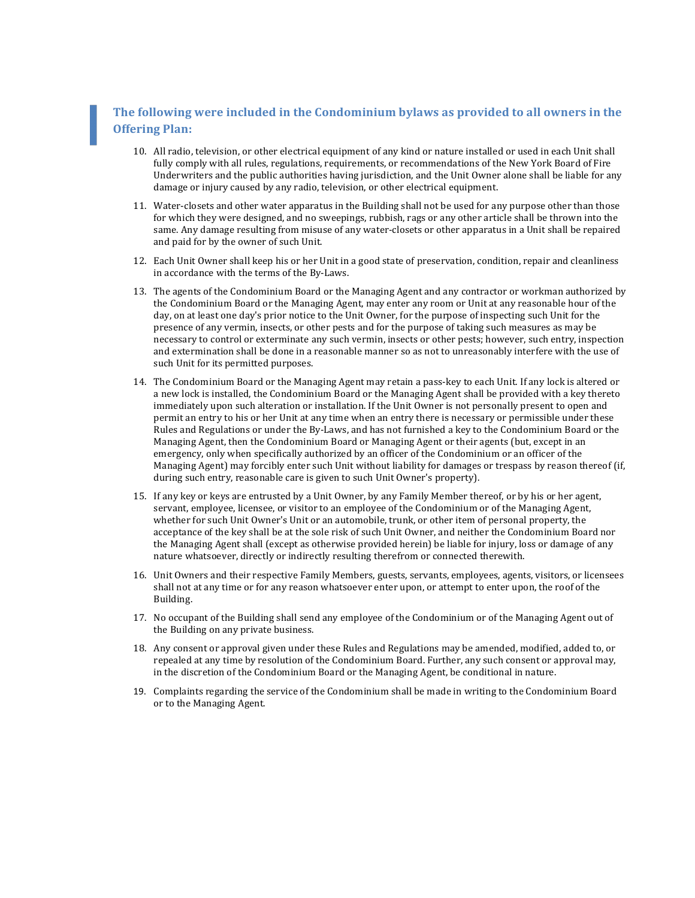# The following were included in the Condominium bylaws as provided to all owners in the **Offering Plan:**

- 10. All radio, television, or other electrical equipment of any kind or nature installed or used in each Unit shall fully comply with all rules, regulations, requirements, or recommendations of the New York Board of Fire Underwriters and the public authorities having jurisdiction, and the Unit Owner alone shall be liable for any damage or injury caused by any radio, television, or other electrical equipment.
- 11. Water-closets and other water apparatus in the Building shall not be used for any purpose other than those for which they were designed, and no sweepings, rubbish, rags or any other article shall be thrown into the same. Any damage resulting from misuse of any water-closets or other apparatus in a Unit shall be repaired and paid for by the owner of such Unit.
- 12. Each Unit Owner shall keep his or her Unit in a good state of preservation, condition, repair and cleanliness in accordance with the terms of the By-Laws.
- 13. The agents of the Condominium Board or the Managing Agent and any contractor or workman authorized by the Condominium Board or the Managing Agent, may enter any room or Unit at any reasonable hour of the day, on at least one day's prior notice to the Unit Owner, for the purpose of inspecting such Unit for the presence of any vermin, insects, or other pests and for the purpose of taking such measures as may be necessary to control or exterminate any such vermin, insects or other pests; however, such entry, inspection and extermination shall be done in a reasonable manner so as not to unreasonably interfere with the use of such Unit for its permitted purposes.
- 14. The Condominium Board or the Managing Agent may retain a pass-key to each Unit. If any lock is altered or a new lock is installed, the Condominium Board or the Managing Agent shall be provided with a key thereto immediately upon such alteration or installation. If the Unit Owner is not personally present to open and permit an entry to his or her Unit at any time when an entry there is necessary or permissible under these Rules and Regulations or under the By-Laws, and has not furnished a key to the Condominium Board or the Managing Agent, then the Condominium Board or Managing Agent or their agents (but, except in an emergency, only when specifically authorized by an officer of the Condominium or an officer of the Managing Agent) may forcibly enter such Unit without liability for damages or trespass by reason thereof (if, during such entry, reasonable care is given to such Unit Owner's property).
- 15. If any key or keys are entrusted by a Unit Owner, by any Family Member thereof, or by his or her agent, servant, employee, licensee, or visitor to an employee of the Condominium or of the Managing Agent, whether for such Unit Owner's Unit or an automobile, trunk, or other item of personal property, the acceptance of the key shall be at the sole risk of such Unit Owner, and neither the Condominium Board nor the Managing Agent shall (except as otherwise provided herein) be liable for injury, loss or damage of any nature whatsoever, directly or indirectly resulting therefrom or connected therewith.
- 16. Unit Owners and their respective Family Members, guests, servants, employees, agents, visitors, or licensees shall not at any time or for any reason whatsoever enter upon, or attempt to enter upon, the roof of the Building.
- 17. No occupant of the Building shall send any employee of the Condominium or of the Managing Agent out of the Building on any private business.
- 18. Any consent or approval given under these Rules and Regulations may be amended, modified, added to, or repealed at any time by resolution of the Condominium Board. Further, any such consent or approval may, in the discretion of the Condominium Board or the Managing Agent, be conditional in nature.
- 19. Complaints regarding the service of the Condominium shall be made in writing to the Condominium Board or to the Managing Agent.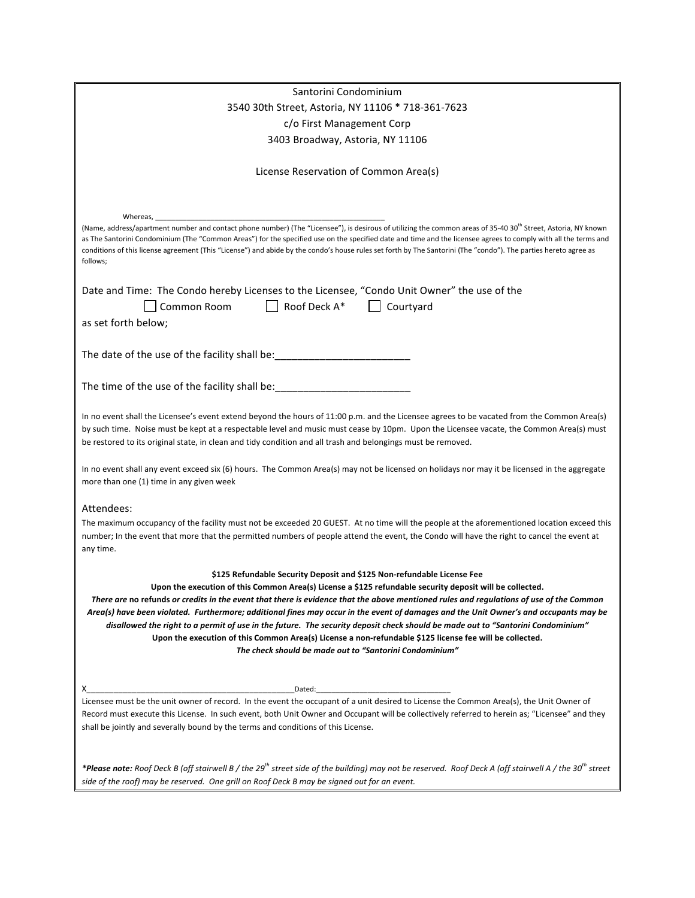| Santorini Condominium                                                                                                                                                                                                                                                    |
|--------------------------------------------------------------------------------------------------------------------------------------------------------------------------------------------------------------------------------------------------------------------------|
| 3540 30th Street, Astoria, NY 11106 * 718-361-7623                                                                                                                                                                                                                       |
| c/o First Management Corp                                                                                                                                                                                                                                                |
| 3403 Broadway, Astoria, NY 11106                                                                                                                                                                                                                                         |
|                                                                                                                                                                                                                                                                          |
| License Reservation of Common Area(s)                                                                                                                                                                                                                                    |
|                                                                                                                                                                                                                                                                          |
|                                                                                                                                                                                                                                                                          |
| Whereas,<br>(Name, address/apartment number and contact phone number) (The "Licensee"), is desirous of utilizing the common areas of 35-40 30 <sup>th</sup> Street, Astoria, NY known                                                                                    |
| as The Santorini Condominium (The "Common Areas") for the specified use on the specified date and time and the licensee agrees to comply with all the terms and                                                                                                          |
| conditions of this license agreement (This "License") and abide by the condo's house rules set forth by The Santorini (The "condo"). The parties hereto agree as<br>follows;                                                                                             |
|                                                                                                                                                                                                                                                                          |
| Date and Time: The Condo hereby Licenses to the Licensee, "Condo Unit Owner" the use of the                                                                                                                                                                              |
| Roof Deck A*<br>Common Room<br>Courtyard                                                                                                                                                                                                                                 |
| as set forth below;                                                                                                                                                                                                                                                      |
|                                                                                                                                                                                                                                                                          |
| The date of the use of the facility shall be: __________________________________                                                                                                                                                                                         |
|                                                                                                                                                                                                                                                                          |
| The time of the use of the facility shall be: __________________________________                                                                                                                                                                                         |
|                                                                                                                                                                                                                                                                          |
| In no event shall the Licensee's event extend beyond the hours of 11:00 p.m. and the Licensee agrees to be vacated from the Common Area(s)                                                                                                                               |
| by such time. Noise must be kept at a respectable level and music must cease by 10pm. Upon the Licensee vacate, the Common Area(s) must<br>be restored to its original state, in clean and tidy condition and all trash and belongings must be removed.                  |
|                                                                                                                                                                                                                                                                          |
| In no event shall any event exceed six (6) hours. The Common Area(s) may not be licensed on holidays nor may it be licensed in the aggregate                                                                                                                             |
| more than one (1) time in any given week                                                                                                                                                                                                                                 |
| Attendees:                                                                                                                                                                                                                                                               |
| The maximum occupancy of the facility must not be exceeded 20 GUEST. At no time will the people at the aforementioned location exceed this                                                                                                                               |
| number; In the event that more that the permitted numbers of people attend the event, the Condo will have the right to cancel the event at                                                                                                                               |
| any time.                                                                                                                                                                                                                                                                |
| \$125 Refundable Security Deposit and \$125 Non-refundable License Fee                                                                                                                                                                                                   |
| Upon the execution of this Common Area(s) License a \$125 refundable security deposit will be collected.                                                                                                                                                                 |
| There are no refunds or credits in the event that there is evidence that the above mentioned rules and regulations of use of the Common                                                                                                                                  |
| Area(s) have been violated. Furthermore; additional fines may occur in the event of damages and the Unit Owner's and occupants may be<br>disallowed the right to a permit of use in the future. The security deposit check should be made out to "Santorini Condominium" |
| Upon the execution of this Common Area(s) License a non-refundable \$125 license fee will be collected.                                                                                                                                                                  |
| The check should be made out to "Santorini Condominium"                                                                                                                                                                                                                  |
|                                                                                                                                                                                                                                                                          |
|                                                                                                                                                                                                                                                                          |
| Licensee must be the unit owner of record. In the event the occupant of a unit desired to License the Common Area(s), the Unit Owner of                                                                                                                                  |
| Record must execute this License. In such event, both Unit Owner and Occupant will be collectively referred to herein as; "Licensee" and they                                                                                                                            |
| shall be jointly and severally bound by the terms and conditions of this License.                                                                                                                                                                                        |
|                                                                                                                                                                                                                                                                          |
| *Please note: Roof Deck B (off stairwell B / the 29 <sup>th</sup> street side of the building) may not be reserved. Roof Deck A (off stairwell A / the 30 <sup>th</sup> street                                                                                           |
| side of the roof) may be reserved. One grill on Roof Deck B may be signed out for an event.                                                                                                                                                                              |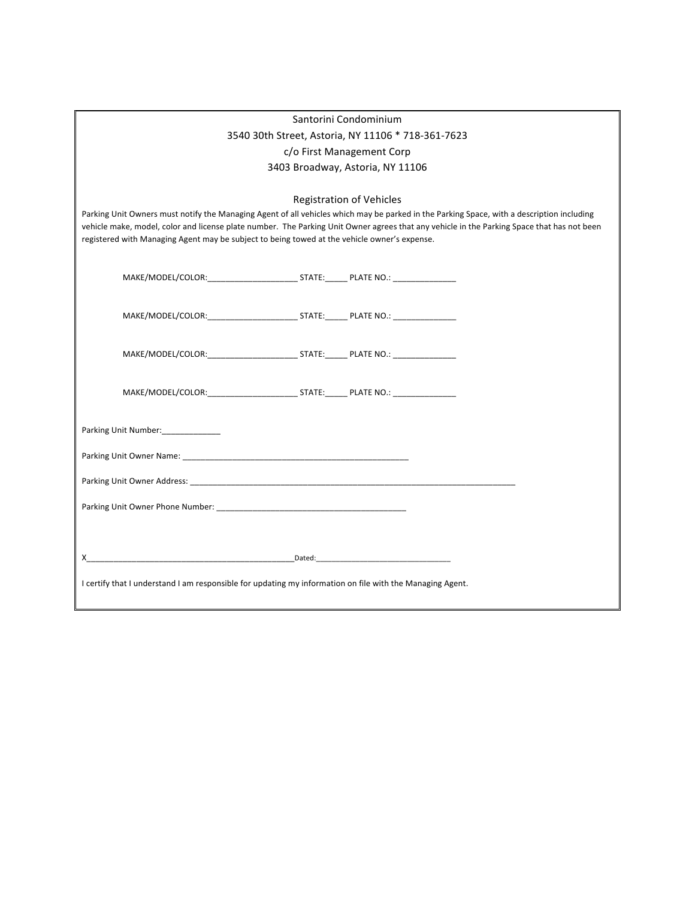| Santorini Condominium                                                                                                                                                                                                          |
|--------------------------------------------------------------------------------------------------------------------------------------------------------------------------------------------------------------------------------|
| 3540 30th Street, Astoria, NY 11106 * 718-361-7623                                                                                                                                                                             |
| c/o First Management Corp                                                                                                                                                                                                      |
| 3403 Broadway, Astoria, NY 11106                                                                                                                                                                                               |
|                                                                                                                                                                                                                                |
| <b>Registration of Vehicles</b>                                                                                                                                                                                                |
| Parking Unit Owners must notify the Managing Agent of all vehicles which may be parked in the Parking Space, with a description including                                                                                      |
| vehicle make, model, color and license plate number. The Parking Unit Owner agrees that any vehicle in the Parking Space that has not been                                                                                     |
| registered with Managing Agent may be subject to being towed at the vehicle owner's expense.                                                                                                                                   |
|                                                                                                                                                                                                                                |
|                                                                                                                                                                                                                                |
|                                                                                                                                                                                                                                |
|                                                                                                                                                                                                                                |
|                                                                                                                                                                                                                                |
|                                                                                                                                                                                                                                |
|                                                                                                                                                                                                                                |
|                                                                                                                                                                                                                                |
|                                                                                                                                                                                                                                |
|                                                                                                                                                                                                                                |
|                                                                                                                                                                                                                                |
| Parking Unit Number:                                                                                                                                                                                                           |
|                                                                                                                                                                                                                                |
|                                                                                                                                                                                                                                |
|                                                                                                                                                                                                                                |
| Parking Unit Owner Phone Number: Name of the Contract of the Contract of the Contract of the Contract of the Contract of the Contract of the Contract of the Contract of the Contract of the Contract of the Contract of the C |
|                                                                                                                                                                                                                                |
|                                                                                                                                                                                                                                |
|                                                                                                                                                                                                                                |
|                                                                                                                                                                                                                                |
| I certify that I understand I am responsible for updating my information on file with the Managing Agent.                                                                                                                      |
|                                                                                                                                                                                                                                |
|                                                                                                                                                                                                                                |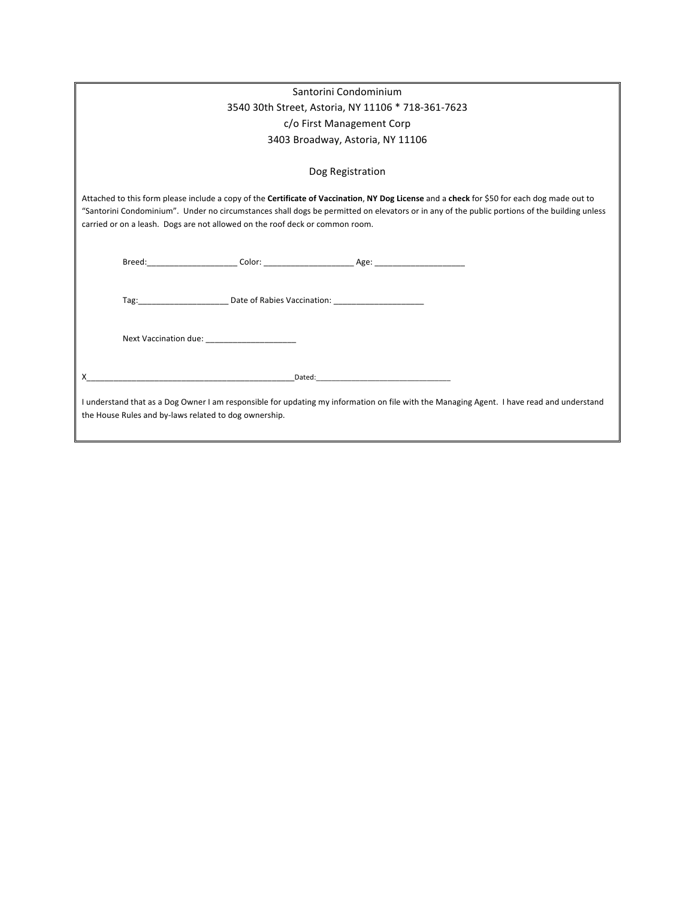| Santorini Condominium                                                                                                                                                                                                                                                                                                                                                       |
|-----------------------------------------------------------------------------------------------------------------------------------------------------------------------------------------------------------------------------------------------------------------------------------------------------------------------------------------------------------------------------|
| 3540 30th Street, Astoria, NY 11106 * 718-361-7623                                                                                                                                                                                                                                                                                                                          |
| c/o First Management Corp                                                                                                                                                                                                                                                                                                                                                   |
| 3403 Broadway, Astoria, NY 11106                                                                                                                                                                                                                                                                                                                                            |
| Dog Registration                                                                                                                                                                                                                                                                                                                                                            |
| Attached to this form please include a copy of the Certificate of Vaccination, NY Dog License and a check for \$50 for each dog made out to<br>"Santorini Condominium". Under no circumstances shall dogs be permitted on elevators or in any of the public portions of the building unless<br>carried or on a leash. Dogs are not allowed on the roof deck or common room. |
|                                                                                                                                                                                                                                                                                                                                                                             |
|                                                                                                                                                                                                                                                                                                                                                                             |
|                                                                                                                                                                                                                                                                                                                                                                             |
| Dated: Natural Management of the Contract of the Contract of the Contract of the Contract of the Contract of the Contract of the Contract of the Contract of the Contract of the Contract of the Contract of the Contract of t                                                                                                                                              |
| I understand that as a Dog Owner I am responsible for updating my information on file with the Managing Agent. I have read and understand<br>the House Rules and by-laws related to dog ownership.                                                                                                                                                                          |